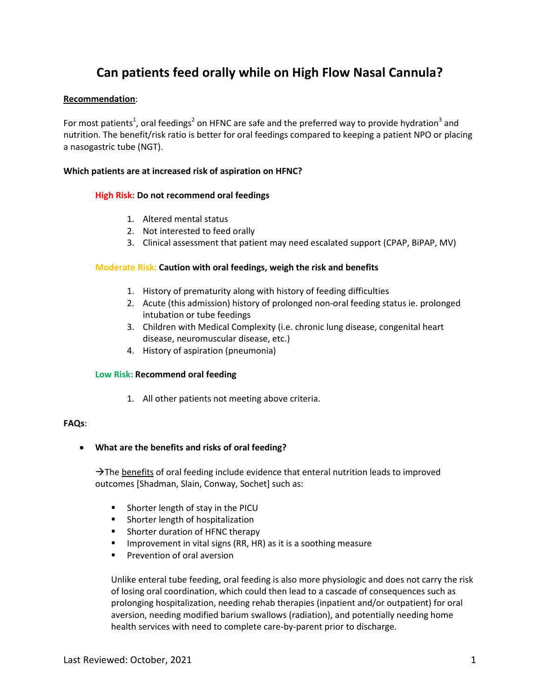# **Can patients feed orally while on High Flow Nasal Cannula?**

## **Recommendation**:

For most patients<sup>1</sup>, oral feedings<sup>2</sup> on HFNC are safe and the preferred way to provide hydration<sup>3</sup> and nutrition. The benefit/risk ratio is better for oral feedings compared to keeping a patient NPO or placing a nasogastric tube (NGT).

## **Which patients are at increased risk of aspiration on HFNC?**

## **High Risk: Do not recommend oral feedings**

- 1. Altered mental status
- 2. Not interested to feed orally
- 3. Clinical assessment that patient may need escalated support (CPAP, BiPAP, MV)

## **Moderate Risk: Caution with oral feedings, weigh the risk and benefits**

- 1. History of prematurity along with history of feeding difficulties
- 2. Acute (this admission) history of prolonged non-oral feeding status ie. prolonged intubation or tube feedings
- 3. Children with Medical Complexity (i.e. chronic lung disease, congenital heart disease, neuromuscular disease, etc.)
- 4. History of aspiration (pneumonia)

## **Low Risk: Recommend oral feeding**

1. All other patients not meeting above criteria.

## **FAQs**:

**What are the benefits and risks of oral feeding?**

 $\rightarrow$  The benefits of oral feeding include evidence that enteral nutrition leads to improved outcomes [Shadman, Slain, Conway, Sochet] such as:

- **Shorter length of stay in the PICU**
- **Shorter length of hospitalization**
- **Shorter duration of HFNC therapy**
- **IMPROVEMENT IS UPSET UPS IN A SET IS A SOOT ALLOCATE IN THE ISLANCE ISL** In provement in vital signs (RR, HR) as it is a soothing measure
- **Prevention of oral aversion**

Unlike enteral tube feeding, oral feeding is also more physiologic and does not carry the risk of losing oral coordination, which could then lead to a cascade of consequences such as prolonging hospitalization, needing rehab therapies (inpatient and/or outpatient) for oral aversion, needing modified barium swallows (radiation), and potentially needing home health services with need to complete care-by-parent prior to discharge.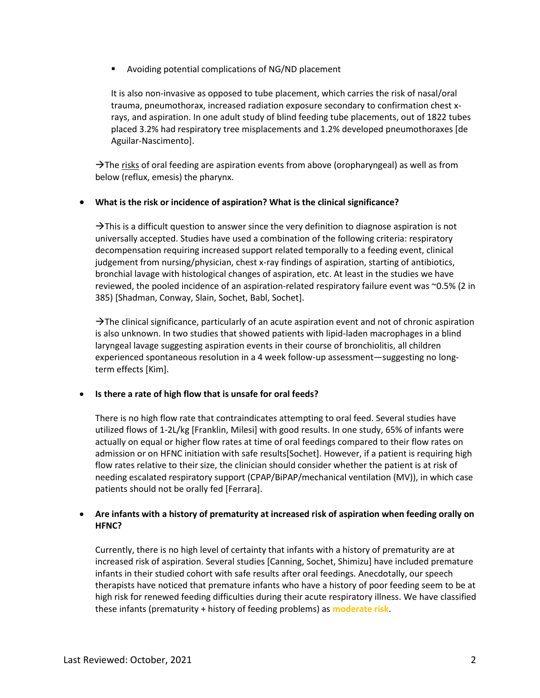Avoiding potential complications of NG/ND placement

It is also non-invasive as opposed to tube placement, which carries the risk of nasal/oral trauma, pneumothorax, increased radiation exposure secondary to confirmation chest xrays, and aspiration. In one adult study of blind feeding tube placements, out of 1822 tubes placed 3.2% had respiratory tree misplacements and 1.2% developed pneumothoraxes [de Aguilar-Nascimento].

 $\rightarrow$  The risks of oral feeding are aspiration events from above (oropharyngeal) as well as from below (reflux, emesis) the pharynx.

## **What is the risk or incidence of aspiration? What is the clinical significance?**

 $\rightarrow$ This is a difficult question to answer since the very definition to diagnose aspiration is not universally accepted. Studies have used a combination of the following criteria: respiratory decompensation requiring increased support related temporally to a feeding event, clinical judgement from nursing/physician, chest x-ray findings of aspiration, starting of antibiotics, bronchial lavage with histological changes of aspiration, etc. At least in the studies we have reviewed, the pooled incidence of an aspiration-related respiratory failure event was ~0.5% (2 in 385) [Shadman, Conway, Slain, Sochet, Babl, Sochet].

 $\rightarrow$ The clinical significance, particularly of an acute aspiration event and not of chronic aspiration is also unknown. In two studies that showed patients with lipid-laden macrophages in a blind laryngeal lavage suggesting aspiration events in their course of bronchiolitis, all children experienced spontaneous resolution in a 4 week follow-up assessment—suggesting no longterm effects [Kim].

## **Is there a rate of high flow that is unsafe for oral feeds?**

There is no high flow rate that contraindicates attempting to oral feed. Several studies have utilized flows of 1-2L/kg [Franklin, Milesi] with good results. In one study, 65% of infants were actually on equal or higher flow rates at time of oral feedings compared to their flow rates on admission or on HFNC initiation with safe results[Sochet]. However, if a patient is requiring high flow rates relative to their size, the clinician should consider whether the patient is at risk of needing escalated respiratory support (CPAP/BiPAP/mechanical ventilation (MV)), in which case patients should not be orally fed [Ferrara].

# **Are infants with a history of prematurity at increased risk of aspiration when feeding orally on HFNC?**

Currently, there is no high level of certainty that infants with a history of prematurity are at increased risk of aspiration. Several studies [Canning, Sochet, Shimizu] have included premature infants in their studied cohort with safe results after oral feedings. Anecdotally, our speech therapists have noticed that premature infants who have a history of poor feeding seem to be at high risk for renewed feeding difficulties during their acute respiratory illness. We have classified these infants (prematurity + history of feeding problems) as **moderate risk**.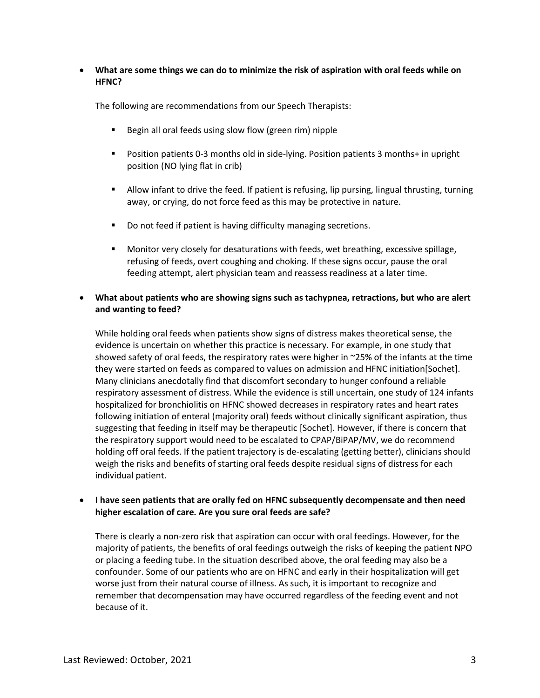## **What are some things we can do to minimize the risk of aspiration with oral feeds while on HFNC?**

The following are recommendations from our Speech Therapists:

- Begin all oral feeds using slow flow (green rim) nipple
- Position patients 0-3 months old in side-lying. Position patients 3 months+ in upright position (NO lying flat in crib)
- Allow infant to drive the feed. If patient is refusing, lip pursing, lingual thrusting, turning away, or crying, do not force feed as this may be protective in nature.
- Do not feed if patient is having difficulty managing secretions.
- Monitor very closely for desaturations with feeds, wet breathing, excessive spillage, refusing of feeds, overt coughing and choking. If these signs occur, pause the oral feeding attempt, alert physician team and reassess readiness at a later time.

## **What about patients who are showing signs such as tachypnea, retractions, but who are alert and wanting to feed?**

While holding oral feeds when patients show signs of distress makes theoretical sense, the evidence is uncertain on whether this practice is necessary. For example, in one study that showed safety of oral feeds, the respiratory rates were higher in ~25% of the infants at the time they were started on feeds as compared to values on admission and HFNC initiation[Sochet]. Many clinicians anecdotally find that discomfort secondary to hunger confound a reliable respiratory assessment of distress. While the evidence is still uncertain, one study of 124 infants hospitalized for bronchiolitis on HFNC showed decreases in respiratory rates and heart rates following initiation of enteral (majority oral) feeds without clinically significant aspiration, thus suggesting that feeding in itself may be therapeutic [Sochet]. However, if there is concern that the respiratory support would need to be escalated to CPAP/BiPAP/MV, we do recommend holding off oral feeds. If the patient trajectory is de-escalating (getting better), clinicians should weigh the risks and benefits of starting oral feeds despite residual signs of distress for each individual patient.

## **I have seen patients that are orally fed on HFNC subsequently decompensate and then need higher escalation of care. Are you sure oral feeds are safe?**

There is clearly a non-zero risk that aspiration can occur with oral feedings. However, for the majority of patients, the benefits of oral feedings outweigh the risks of keeping the patient NPO or placing a feeding tube. In the situation described above, the oral feeding may also be a confounder. Some of our patients who are on HFNC and early in their hospitalization will get worse just from their natural course of illness. As such, it is important to recognize and remember that decompensation may have occurred regardless of the feeding event and not because of it.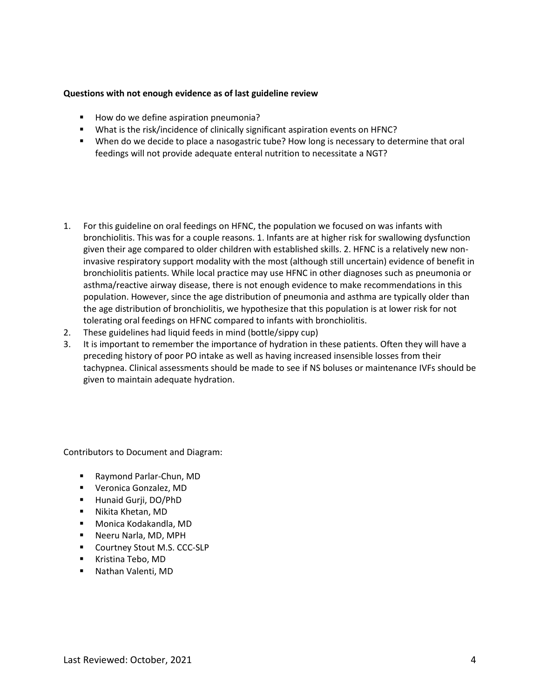#### **Questions with not enough evidence as of last guideline review**

- How do we define aspiration pneumonia?
- What is the risk/incidence of clinically significant aspiration events on HFNC?
- **When do we decide to place a nasogastric tube? How long is necessary to determine that oral** feedings will not provide adequate enteral nutrition to necessitate a NGT?
- 1. For this guideline on oral feedings on HFNC, the population we focused on was infants with bronchiolitis. This was for a couple reasons. 1. Infants are at higher risk for swallowing dysfunction given their age compared to older children with established skills. 2. HFNC is a relatively new noninvasive respiratory support modality with the most (although still uncertain) evidence of benefit in bronchiolitis patients. While local practice may use HFNC in other diagnoses such as pneumonia or asthma/reactive airway disease, there is not enough evidence to make recommendations in this population. However, since the age distribution of pneumonia and asthma are typically older than the age distribution of bronchiolitis, we hypothesize that this population is at lower risk for not tolerating oral feedings on HFNC compared to infants with bronchiolitis.
- 2. These guidelines had liquid feeds in mind (bottle/sippy cup)
- 3. It is important to remember the importance of hydration in these patients. Often they will have a preceding history of poor PO intake as well as having increased insensible losses from their tachypnea. Clinical assessments should be made to see if NS boluses or maintenance IVFs should be given to maintain adequate hydration.

Contributors to Document and Diagram:

- Raymond Parlar-Chun, MD
- **•** Veronica Gonzalez, MD
- Hunaid Gurji, DO/PhD
- Nikita Khetan, MD
- Monica Kodakandla, MD
- **Neeru Narla, MD, MPH**
- **Courtney Stout M.S. CCC-SLP**
- Kristina Tebo, MD
- Nathan Valenti, MD